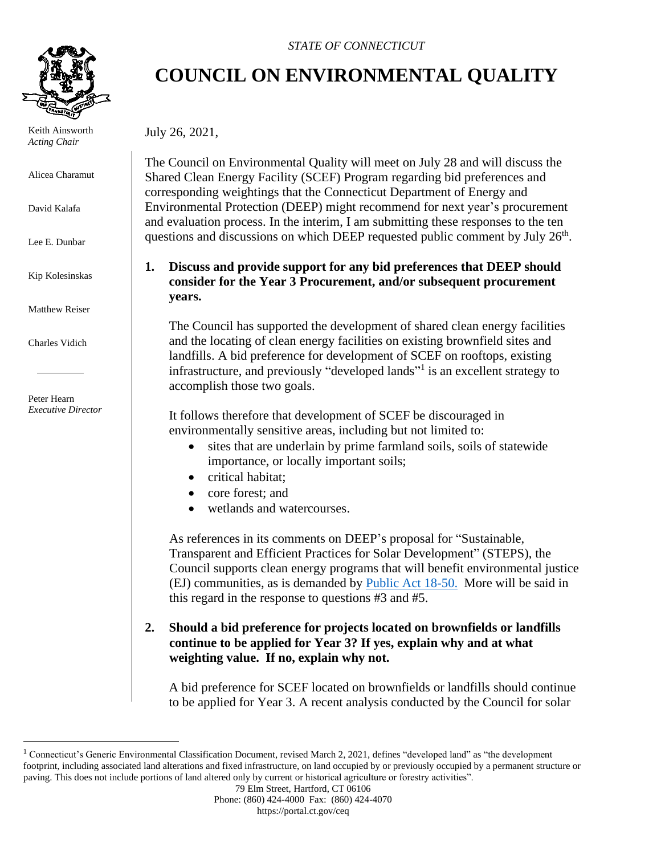

 Keith Ainsworth *Acting Chair*

Alicea Charamut

David Kalafa

Lee E. Dunbar

Kip Kolesinskas

Matthew Reiser

Charles Vidich

 Peter Hearn *Executive Director*

#### *STATE OF CONNECTICUT*

# **COUNCIL ON ENVIRONMENTAL QUALITY**

July 26, 2021,

The Council on Environmental Quality will meet on July 28 and will discuss the Shared Clean Energy Facility (SCEF) Program regarding bid preferences and corresponding weightings that the Connecticut Department of Energy and Environmental Protection (DEEP) might recommend for next year's procurement and evaluation process. In the interim, I am submitting these responses to the ten questions and discussions on which DEEP requested public comment by July  $26<sup>th</sup>$ .

## **1. Discuss and provide support for any bid preferences that DEEP should consider for the Year 3 Procurement, and/or subsequent procurement years.**

The Council has supported the development of shared clean energy facilities and the locating of clean energy facilities on existing brownfield sites and landfills. A bid preference for development of SCEF on rooftops, existing infrastructure, and previously "developed lands"<sup>1</sup> is an excellent strategy to accomplish those two goals.

It follows therefore that development of SCEF be discouraged in environmentally sensitive areas, including but not limited to:

- sites that are underlain by prime farmland soils, soils of statewide importance, or locally important soils;
- critical habitat:
- core forest: and
- wetlands and watercourses.

As references in its comments on DEEP's proposal for "Sustainable, Transparent and Efficient Practices for Solar Development" (STEPS), the Council supports clean energy programs that will benefit environmental justice (EJ) communities, as is demanded by [Public Act 18-50.](https://www.cga.ct.gov/2018/ACT/pa/pdf/2018PA-00050-R00SB-00009-PA.pdf) More will be said in this regard in the response to questions #3 and #5.

## **2. Should a bid preference for projects located on brownfields or landfills continue to be applied for Year 3? If yes, explain why and at what weighting value. If no, explain why not.**

A bid preference for SCEF located on brownfields or landfills should continue to be applied for Year 3. A recent analysis conducted by the Council for solar

<sup>1</sup> Connecticut's Generic Environmental Classification Document, revised March 2, 2021, defines "developed land" as "the development footprint, including associated land alterations and fixed infrastructure, on land occupied by or previously occupied by a permanent structure or paving. This does not include portions of land altered only by current or historical agriculture or forestry activities".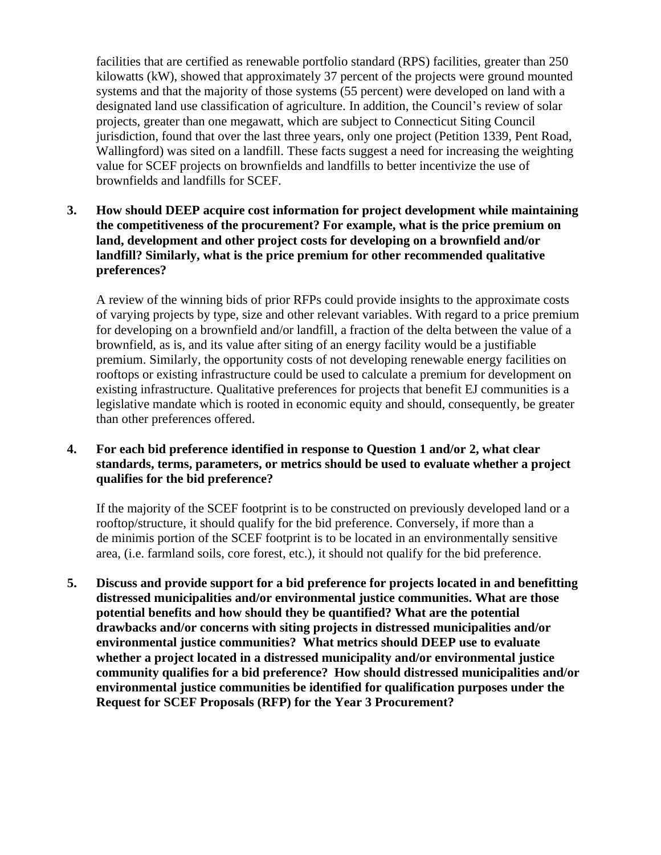facilities that are certified as renewable portfolio standard (RPS) facilities, greater than 250 kilowatts (kW), showed that approximately 37 percent of the projects were ground mounted systems and that the majority of those systems (55 percent) were developed on land with a designated land use classification of agriculture. In addition, the Council's review of solar projects, greater than one megawatt, which are subject to Connecticut Siting Council jurisdiction, found that over the last three years, only one project (Petition 1339, Pent Road, Wallingford) was sited on a landfill. These facts suggest a need for increasing the weighting value for SCEF projects on brownfields and landfills to better incentivize the use of brownfields and landfills for SCEF.

**3. How should DEEP acquire cost information for project development while maintaining the competitiveness of the procurement? For example, what is the price premium on land, development and other project costs for developing on a brownfield and/or landfill? Similarly, what is the price premium for other recommended qualitative preferences?**

A review of the winning bids of prior RFPs could provide insights to the approximate costs of varying projects by type, size and other relevant variables. With regard to a price premium for developing on a brownfield and/or landfill, a fraction of the delta between the value of a brownfield, as is, and its value after siting of an energy facility would be a justifiable premium. Similarly, the opportunity costs of not developing renewable energy facilities on rooftops or existing infrastructure could be used to calculate a premium for development on existing infrastructure. Qualitative preferences for projects that benefit EJ communities is a legislative mandate which is rooted in economic equity and should, consequently, be greater than other preferences offered.

### **4. For each bid preference identified in response to Question 1 and/or 2, what clear standards, terms, parameters, or metrics should be used to evaluate whether a project qualifies for the bid preference?**

If the majority of the SCEF footprint is to be constructed on previously developed land or a rooftop/structure, it should qualify for the bid preference. Conversely, if more than a de minimis portion of the SCEF footprint is to be located in an environmentally sensitive area, (i.e. farmland soils, core forest, etc.), it should not qualify for the bid preference.

**5. Discuss and provide support for a bid preference for projects located in and benefitting distressed municipalities and/or environmental justice communities. What are those potential benefits and how should they be quantified? What are the potential drawbacks and/or concerns with siting projects in distressed municipalities and/or environmental justice communities? What metrics should DEEP use to evaluate whether a project located in a distressed municipality and/or environmental justice community qualifies for a bid preference? How should distressed municipalities and/or environmental justice communities be identified for qualification purposes under the Request for SCEF Proposals (RFP) for the Year 3 Procurement?**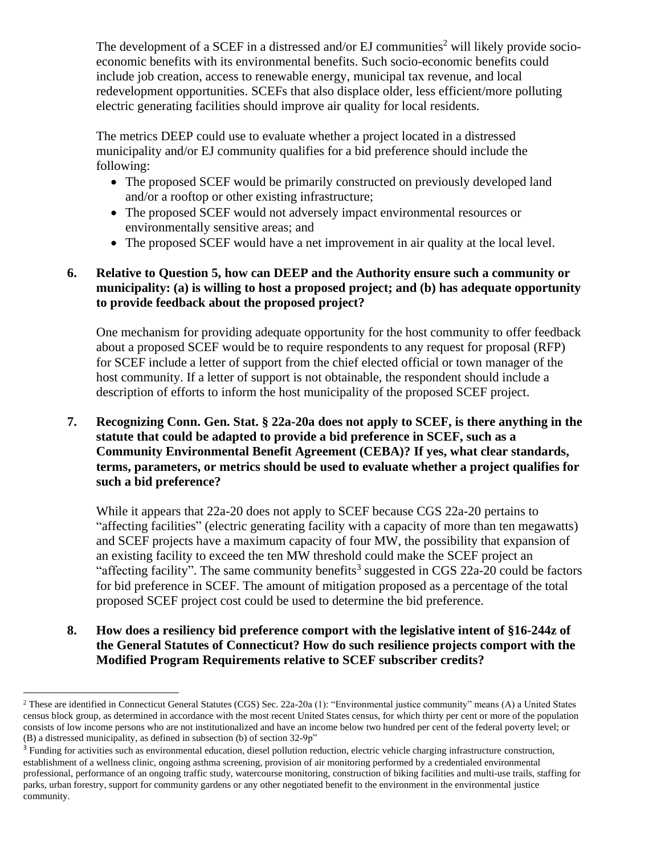The development of a SCEF in a distressed and/or EJ communities<sup>2</sup> will likely provide socioeconomic benefits with its environmental benefits. Such socio-economic benefits could include job creation, access to renewable energy, municipal tax revenue, and local redevelopment opportunities. SCEFs that also displace older, less efficient/more polluting electric generating facilities should improve air quality for local residents.

The metrics DEEP could use to evaluate whether a project located in a distressed municipality and/or EJ community qualifies for a bid preference should include the following:

- The proposed SCEF would be primarily constructed on previously developed land and/or a rooftop or other existing infrastructure;
- The proposed SCEF would not adversely impact environmental resources or environmentally sensitive areas; and
- The proposed SCEF would have a net improvement in air quality at the local level.

## **6. Relative to Question 5, how can DEEP and the Authority ensure such a community or municipality: (a) is willing to host a proposed project; and (b) has adequate opportunity to provide feedback about the proposed project?**

One mechanism for providing adequate opportunity for the host community to offer feedback about a proposed SCEF would be to require respondents to any request for proposal (RFP) for SCEF include a letter of support from the chief elected official or town manager of the host community. If a letter of support is not obtainable, the respondent should include a description of efforts to inform the host municipality of the proposed SCEF project.

**7. Recognizing Conn. Gen. Stat. § 22a-20a does not apply to SCEF, is there anything in the statute that could be adapted to provide a bid preference in SCEF, such as a Community Environmental Benefit Agreement (CEBA)? If yes, what clear standards, terms, parameters, or metrics should be used to evaluate whether a project qualifies for such a bid preference?**

While it appears that 22a-20 does not apply to SCEF because CGS 22a-20 pertains to "affecting facilities" (electric generating facility with a capacity of more than ten megawatts) and SCEF projects have a maximum capacity of four MW, the possibility that expansion of an existing facility to exceed the ten MW threshold could make the SCEF project an "affecting facility". The same community benefits<sup>3</sup> suggested in CGS 22a-20 could be factors for bid preference in SCEF. The amount of mitigation proposed as a percentage of the total proposed SCEF project cost could be used to determine the bid preference.

**8. How does a resiliency bid preference comport with the legislative intent of §16-244z of the General Statutes of Connecticut? How do such resilience projects comport with the Modified Program Requirements relative to SCEF subscriber credits?**

<sup>&</sup>lt;sup>2</sup> These are identified in Connecticut General Statutes (CGS) Sec. 22a-20a (1): "Environmental justice community" means (A) a United States census block group, as determined in accordance with the most recent United States census, for which thirty per cent or more of the population consists of low income persons who are not institutionalized and have an income below two hundred per cent of the federal poverty level; or (B) a distressed municipality, as defined in subsection (b) of section 32-9p"

<sup>&</sup>lt;sup>3</sup> Funding for activities such as environmental education, diesel pollution reduction, electric vehicle charging infrastructure construction, establishment of a wellness clinic, ongoing asthma screening, provision of air monitoring performed by a credentialed environmental professional, performance of an ongoing traffic study, watercourse monitoring, construction of biking facilities and multi-use trails, staffing for parks, urban forestry, support for community gardens or any other negotiated benefit to the environment in the environmental justice community.